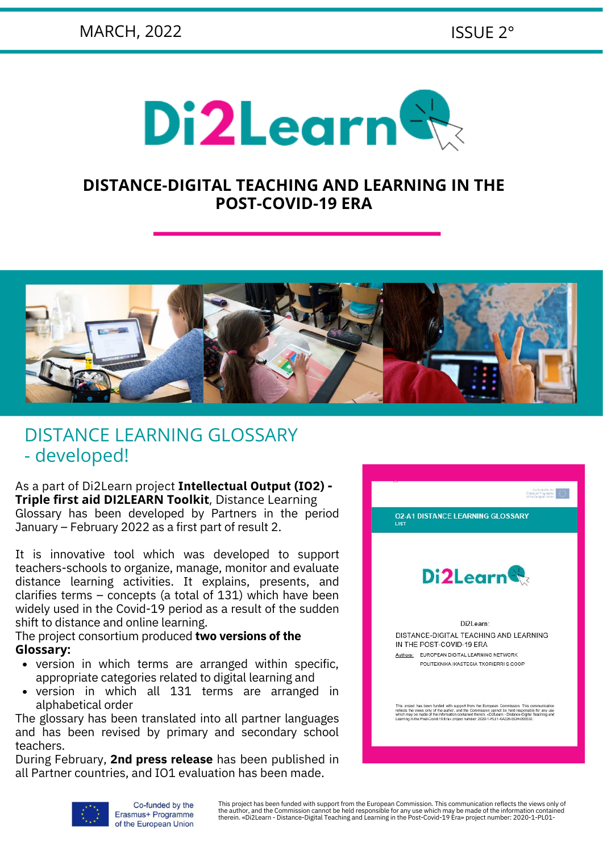

### **DISTANCE-DIGITAL TEACHING AND LEARNING IN THE POST-COVID-19 ERA**



## DISTANCE LEARNING GLOSSARY - developed!

As a part of Di2Learn project **Intellectual Output (IO2) - Triple first aid DI2LEARN Toolkit**, Distance Learning Glossary has been developed by Partners in the period January – February 2022 as a first part of result 2.

It is innovative tool which was developed to support teachers-schools to organize, manage, monitor and evaluate distance learning activities. It explains, presents, and clarifies terms – concepts (a total of 131) which have been widely used in the Covid-19 period as a result of the sudden shift to distance and online learning.

The project consortium produced **two versions of the Glossary:**

- version in which terms are arranged within specific, appropriate categories related to digital learning and
- version in which all 131 terms are arranged in alphabetical order

The glossary has been translated into all partner languages and has been revised by primary and secondary school teachers.

During February, **2nd press release** has been published in all Partner countries, and IO1 evaluation has been made.





This project has been funded with support from the European Commission. This communication reflects the views only of the author, and the Commission cannot be held responsible for any use which may be made of the information contained<br>therein. «Di2Learn - Distance-Digital Teaching and Learning in the Post-Covid-19 Era» project number: 202